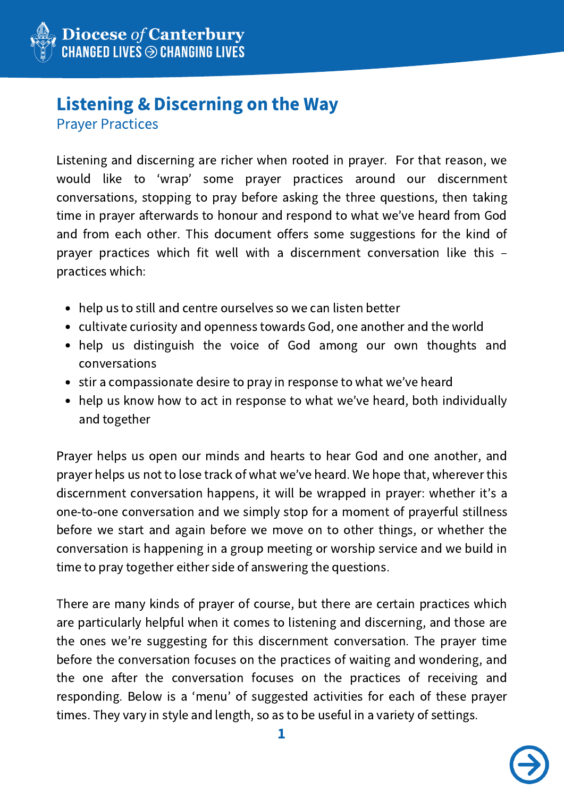

# Listening & Discerning on the Way

Prayer Practices

Listening and discerning are richer when rooted in prayer. For that reason, we would like to ʻwrap' some prayer practices around our discernment conversations, stopping to pray before asking the three questions, then taking time in prayer afterwards to honour and respond to what we've heard from God and from each other. This document offers some suggestions for the kind of prayer practices which fit well with a discernment conversation like this – practices which:

- help us to still and centre ourselves so we can listen better
- cultivate curiosity and openness towards God, one another and the world
- help us distinguish the voice of God among our own thoughts and conversations
- stir a compassionate desire to pray in response to what we've heard
- help us know how to act in response to what we've heard, both individually and together

Prayer helps us open our minds and hearts to hear God and one another, and prayer helps us not to lose track of what we've heard. We hope that, wherever this discernment conversation happens, it will be wrapped in prayer: whether it's a one-to-one conversation and we simply stop for a moment of prayerful stillness before we start and again before we move on to other things, or whether the conversation is happening in a group meeting or worship service and we build in time to pray together either side of answering the questions.

There are many kinds of prayer of course, but there are certain practices which are particularly helpful when it comes to listening and discerning, and those are the ones we're suggesting for this discernment conversation. The prayer time before the conversation focuses on the practices of waiting and wondering, and the one after the conversation focuses on the practices of receiving and responding. Below is a ʻmenu' of suggested activities for each of these prayer times. They vary in style and length, so as to be useful in a variety of settings.

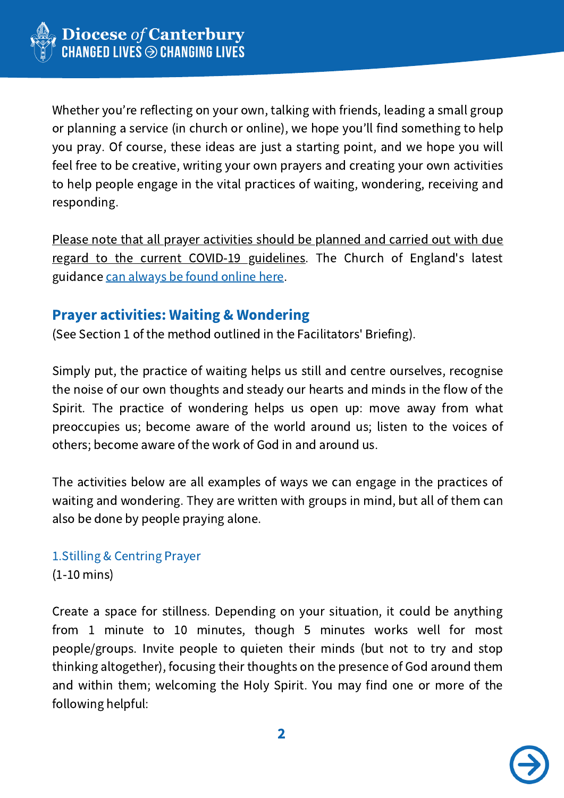

Whether you're reflecting on your own, talking with friends, leading a small group or planning a service (in church or online), we hope you'll find something to help you pray. Of course, these ideas are just a starting point, and we hope you will feel free to be creative, writing your own prayers and creating your own activities to help people engage in the vital practices of waiting, wondering, receiving and responding.

Please note that all prayer activities should be planned and carried out with due regard to the current COVID-19 guidelines. The Church of England's latest guidance can [always](https://www.churchofengland.org/more/media-centre/coronavirus-covid-19-guidance-churches) be found online here.

# Prayer activities: Waiting & Wondering

(See Section 1 of the method outlined in the Facilitators' Briefing).

Simply put, the practice of waiting helps us still and centre ourselves, recognise the noise of our own thoughts and steady our hearts and minds in the flow of the Spirit. The practice of wondering helps us open up: move away from what preoccupies us; become aware of the world around us; listen to the voices of others; become aware of the work of God in and around us.

The activities below are all examples of ways we can engage in the practices of waiting and wondering. They are written with groups in mind, but all of them can also be done by people praying alone.

## 1.Stilling & Centring Prayer (1-10 mins)

Create a space for stillness. Depending on your situation, it could be anything from 1 minute to 10 minutes, though 5 minutes works well for most people/groups. Invite people to quieten their minds (but not to try and stop thinking altogether), focusing their thoughts on the presence of God around them and within them; welcoming the Holy Spirit. You may find one or more of the following helpful:

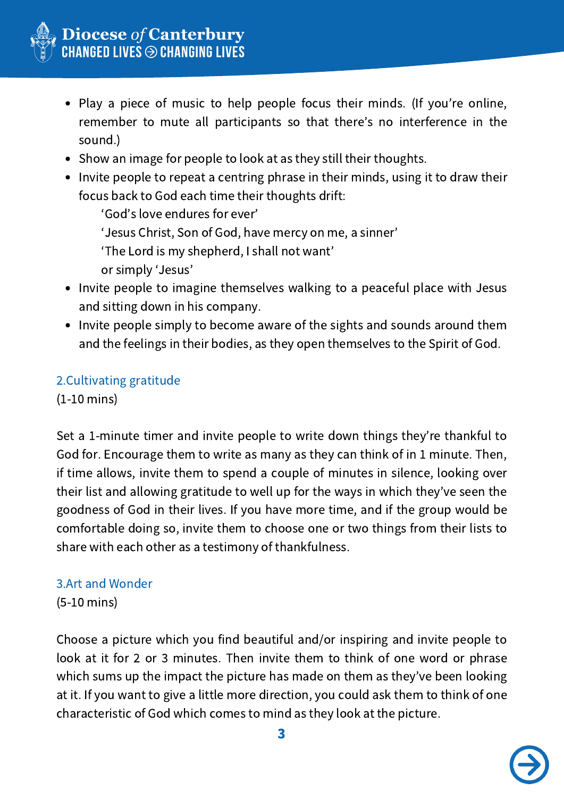

- Play a piece of music to help people focus their minds. (If you're online, remember to mute all participants so that there's no interference in the sound.)
- Show an image for people to look at as they still their thoughts.
- Invite people to repeat a centring phrase in their minds, using it to draw their focus back to God each time their thoughts drift:

ʻGod's love endures for ever'

ʻJesus Christ, Son of God, have mercy on me, a sinner'

ʻThe Lord is my shepherd, I shall not want'

or simply ʻJesus'

- Invite people to imagine themselves walking to a peaceful place with Jesus and sitting down in his company.
- Invite people simply to become aware of the sights and sounds around them and the feelings in their bodies, as they open themselves to the Spirit of God.

## 2.Cultivating gratitude

(1-10 mins)

Set a 1-minute timer and invite people to write down things they're thankful to God for. Encourage them to write as many as they can think of in 1 minute. Then, if time allows, invite them to spend a couple of minutes in silence, looking over their list and allowing gratitude to well up for the ways in which they've seen the goodness of God in their lives. If you have more time, and if the group would be comfortable doing so, invite them to choose one or two things from their lists to share with each other as a testimony of thankfulness.

## 3.Art and Wonder

(5-10 mins)

Choose a picture which you find beautiful and/or inspiring and invite people to look at it for 2 or 3 minutes. Then invite them to think of one word or phrase which sums up the impact the picture has made on them as they've been looking at it. If you want to give a little more direction, you could ask them to think of one characteristic of God which comes to mind as they look at the picture.

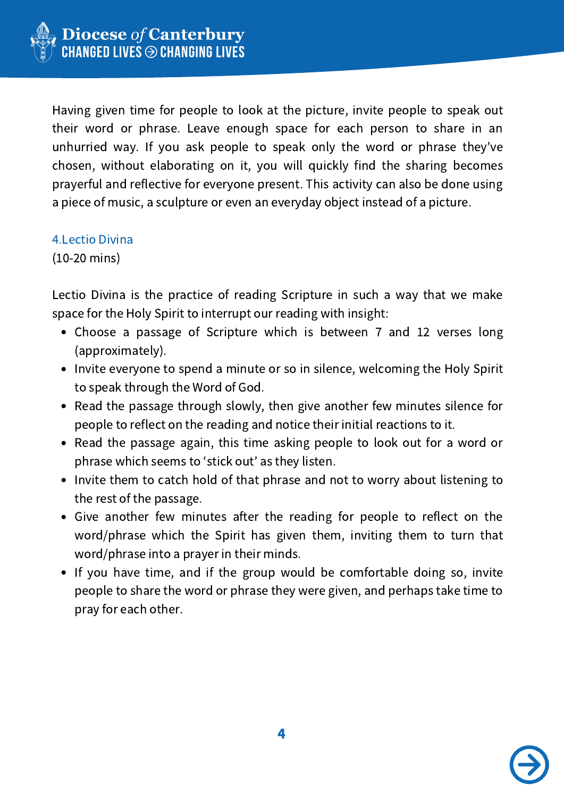

Having given time for people to look at the picture, invite people to speak out their word or phrase. Leave enough space for each person to share in an unhurried way. If you ask people to speak only the word or phrase they've chosen, without elaborating on it, you will quickly find the sharing becomes prayerful and reflective for everyone present. This activity can also be done using a piece of music, a sculpture or even an everyday object instead of a picture.

#### 4.Lectio Divina

(10-20 mins)

Lectio Divina is the practice of reading Scripture in such a way that we make space for the Holy Spirit to interrupt our reading with insight:

- Choose a passage of Scripture which is between 7 and 12 verses long (approximately).
- Invite everyone to spend a minute or so in silence, welcoming the Holy Spirit to speak through the Word of God.
- Read the passage through slowly, then give another few minutes silence for people to reflect on the reading and notice their initial reactions to it.
- Read the passage again, this time asking people to look out for a word or phrase which seems to ʻstick out' as they listen.
- Invite them to catch hold of that phrase and not to worry about listening to the rest of the passage.
- Give another few minutes after the reading for people to reflect on the word/phrase which the Spirit has given them, inviting them to turn that word/phrase into a prayer in their minds.
- If you have time, and if the group would be comfortable doing so, invite people to share the word or phrase they were given, and perhaps take time to pray for each other.

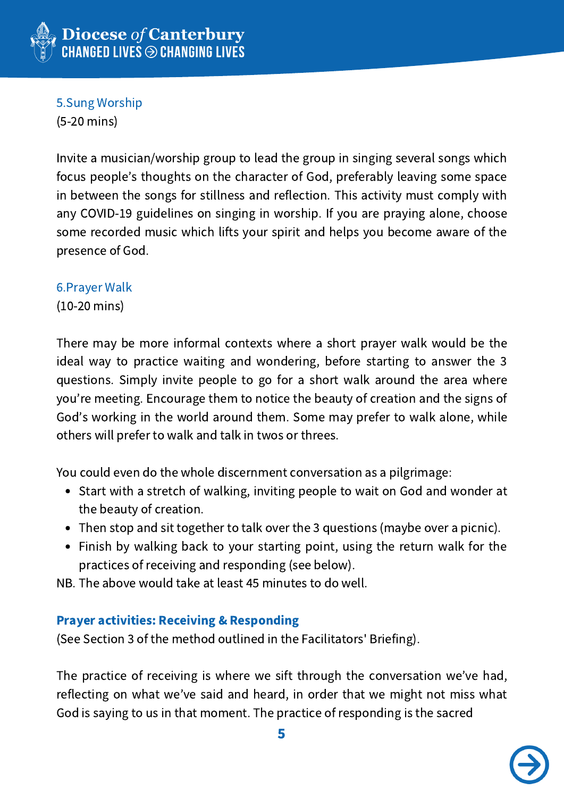

5.Sung Worship

(5-20 mins)

Invite a musician/worship group to lead the group in singing several songs which focus people's thoughts on the character of God, preferably leaving some space in between the songs for stillness and reflection. This activity must comply with any COVID-19 guidelines on singing in worship. If you are praying alone, choose some recorded music which lifts your spirit and helps you become aware of the presence of God.

#### 6.Prayer Walk

(10-20 mins)

There may be more informal contexts where a short prayer walk would be the ideal way to practice waiting and wondering, before starting to answer the 3 questions. Simply invite people to go for a short walk around the area where you're meeting. Encourage them to notice the beauty of creation and the signs of God's working in the world around them. Some may prefer to walk alone, while others will prefer to walk and talk in twos or threes.

You could even do the whole discernment conversation as a pilgrimage:

- Start with a stretch of walking, inviting people to wait on God and wonder at the beauty of creation.
- Then stop and sit together to talk over the 3 questions (maybe over a picnic).
- Finish by walking back to your starting point, using the return walk for the practices of receiving and responding (see below).

NB. The above would take at least 45 minutes to do well.

#### Prayer activities: Receiving & Responding

(See Section 3 of the method outlined in the Facilitators' Briefing).

The practice of receiving is where we sift through the conversation we've had, reflecting on what we've said and heard, in order that we might not miss what God is saying to us in that moment. The practice of responding is the sacred

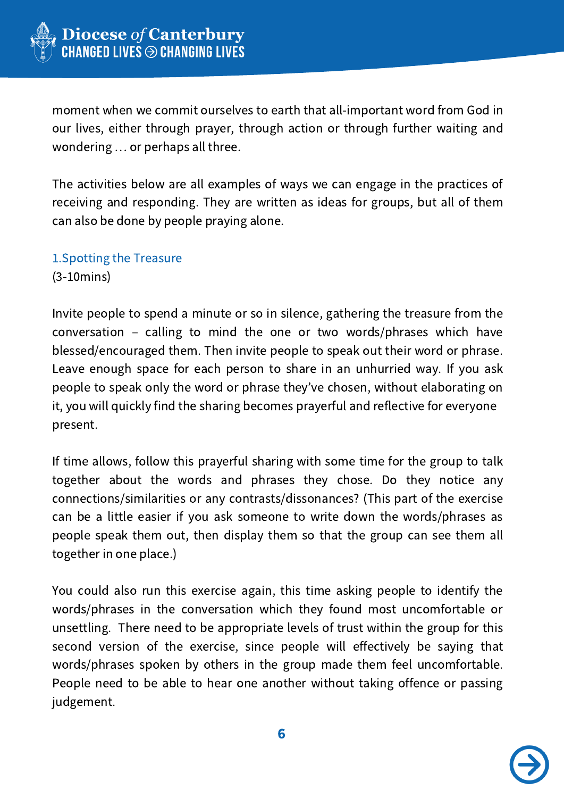

moment when we commit ourselves to earth that all-important word from God in our lives, either through prayer, through action or through further waiting and wondering … or perhaps all three.

The activities below are all examples of ways we can engage in the practices of receiving and responding. They are written as ideas for groups, but all of them can also be done by people praying alone.

1.Spotting the Treasure (3-10mins)

Invite people to spend a minute or so in silence, gathering the treasure from the conversation – calling to mind the one or two words/phrases which have blessed/encouraged them. Then invite people to speak out their word or phrase. Leave enough space for each person to share in an unhurried way. If you ask people to speak only the word or phrase they've chosen, without elaborating on it, you will quickly find the sharing becomes prayerful and reflective for everyone present.

If time allows, follow this prayerful sharing with some time for the group to talk together about the words and phrases they chose. Do they notice any connections/similarities or any contrasts/dissonances? (This part of the exercise can be a little easier if you ask someone to write down the words/phrases as people speak them out, then display them so that the group can see them all together in one place.)

You could also run this exercise again, this time asking people to identify the words/phrases in the conversation which they found most uncomfortable or unsettling. There need to be appropriate levels of trust within the group for this second version of the exercise, since people will effectively be saying that words/phrases spoken by others in the group made them feel uncomfortable. People need to be able to hear one another without taking offence or passing judgement.

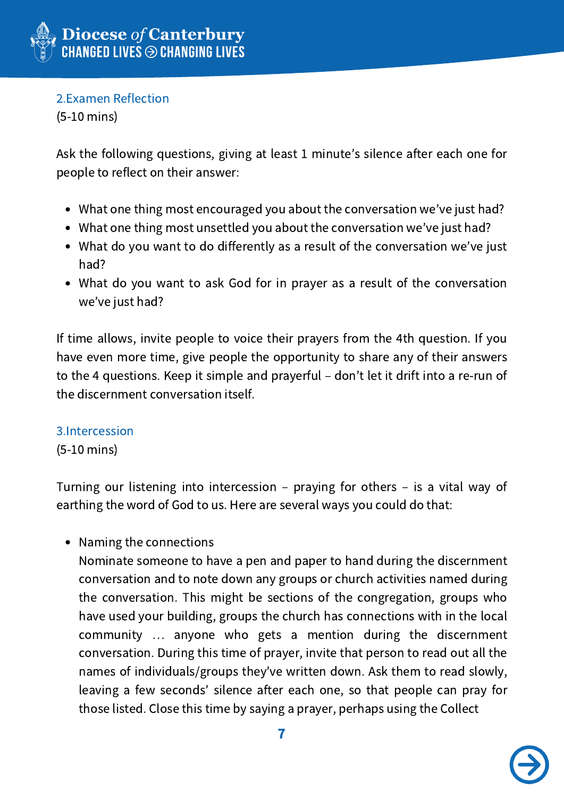

2.Examen Reflection

(5-10 mins)

Ask the following questions, giving at least 1 minute's silence after each one for people to reflect on their answer:

- What one thing most encouraged you about the conversation we've just had?
- What one thing most unsettled you about the conversation we've just had?
- What do you want to do differently as a result of the conversation we've just had?
- What do you want to ask God for in prayer as a result of the conversation we've just had?

If time allows, invite people to voice their prayers from the 4th question. If you have even more time, give people the opportunity to share any of their answers to the 4 questions. Keep it simple and prayerful – don't let it drift into a re-run of the discernment conversation itself.

## 3.Intercession

(5-10 mins)

Turning our listening into intercession – praying for others – is a vital way of earthing the word of God to us. Here are several ways you could do that:

• Naming the connections

Nominate someone to have a pen and paper to hand during the discernment conversation and to note down any groups or church activities named during the conversation. This might be sections of the congregation, groups who have used your building, groups the church has connections with in the local community … anyone who gets a mention during the discernment conversation. During this time of prayer, invite that person to read out all the names of individuals/groups they've written down. Ask them to read slowly, leaving a few seconds' silence after each one, so that people can pray for those listed. Close this time by saying a prayer, perhaps using the Collect

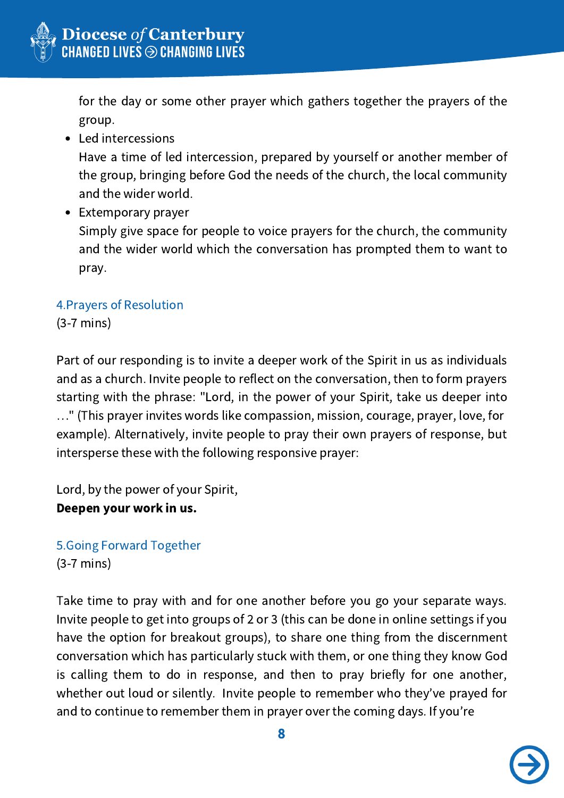

for the day or some other prayer which gathers together the prayers of the group.

Led intercessions

Have a time of led intercession, prepared by yourself or another member of the group, bringing before God the needs of the church, the local community and the wider world.

• Extemporary prayer Simply give space for people to voice prayers for the church, the community and the wider world which the conversation has prompted them to want to pray.

## 4.Prayers of Resolution

(3-7 mins)

Part of our responding is to invite a deeper work of the Spirit in us as individuals and as a church. Invite people to reflect on the conversation, then to form prayers starting with the phrase: "Lord, in the power of your Spirit, take us deeper into …" (This prayer invites words like compassion, mission, courage, prayer, love, for example). Alternatively, invite people to pray their own prayers of response, but intersperse these with the following responsive prayer:

Lord, by the power of your Spirit, Deepen your work in us.

5.Going Forward Together (3-7 mins)

Take time to pray with and for one another before you go your separate ways. Invite people to get into groups of 2 or 3 (this can be done in online settings if you have the option for breakout groups), to share one thing from the discernment conversation which has particularly stuck with them, or one thing they know God is calling them to do in response, and then to pray briefly for one another, whether out loud or silently. Invite people to remember who they've prayed for and to continue to remember them in prayer over the coming days. If you're